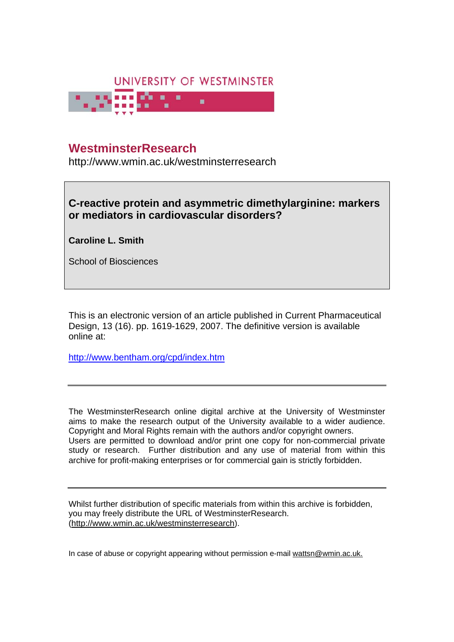

# **WestminsterResearch**

http://www.wmin.ac.uk/westminsterresearch

# **C-reactive protein and asymmetric dimethylarginine: markers or mediators in cardiovascular disorders?**

**Caroline L. Smith**

School of Biosciences

This is an electronic version of an article published in Current Pharmaceutical Design, 13 (16). pp. 1619-1629, 2007. The definitive version is available online at:

http://www.bentham.org/cpd/index.htm

The WestminsterResearch online digital archive at the University of Westminster aims to make the research output of the University available to a wider audience. Copyright and Moral Rights remain with the authors and/or copyright owners. Users are permitted to download and/or print one copy for non-commercial private study or research. Further distribution and any use of material from within this archive for profit-making enterprises or for commercial gain is strictly forbidden.

Whilst further distribution of specific materials from within this archive is forbidden, you may freely distribute the URL of WestminsterResearch. (http://www.wmin.ac.uk/westminsterresearch).

In case of abuse or copyright appearing without permission e-mail wattsn@wmin.ac.uk.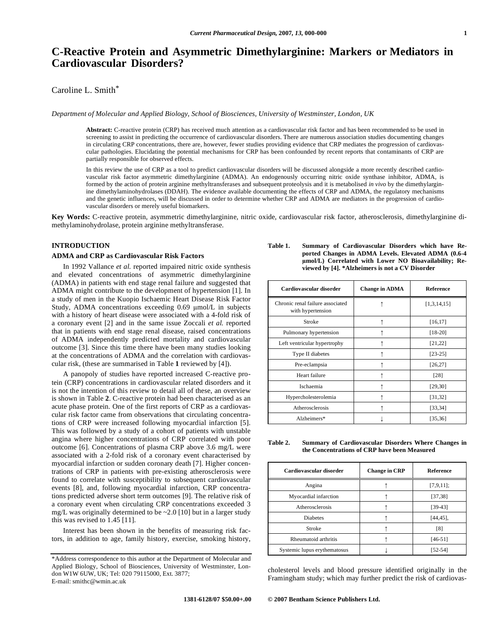# **C-Reactive Protein and Asymmetric Dimethylarginine: Markers or Mediators in Cardiovascular Disorders?**

Caroline L. Smith\*

*Department of Molecular and Applied Biology, School of Biosciences, University of Westminster, London, UK* 

**Abstract:** C-reactive protein (CRP) has received much attention as a cardiovascular risk factor and has been recommended to be used in screening to assist in predicting the occurrence of cardiovascular disorders. There are numerous association studies documenting changes in circulating CRP concentrations, there are, however, fewer studies providing evidence that CRP mediates the progression of cardiovascular pathologies. Elucidating the potential mechanisms for CRP has been confounded by recent reports that contaminants of CRP are partially responsible for observed effects.

In this review the use of CRP as a tool to predict cardiovascular disorders will be discussed alongside a more recently described cardiovascular risk factor asymmetric dimethylarginine (ADMA). An endogenously occurring nitric oxide synthase inhibitor, ADMA, is formed by the action of protein arginine methyltransferases and subsequent proteolysis and it is metabolised *in vivo* by the dimethylarginine dimethylaminohydrolases (DDAH). The evidence available documenting the effects of CRP and ADMA, the regulatory mechanisms and the genetic influences, will be discussed in order to determine whether CRP and ADMA are mediators in the progression of cardiovascular disorders or merely useful biomarkers.

**Key Words:** C-reactive protein, asymmetric dimethylarginine, nitric oxide, cardiovascular risk factor, atherosclerosis, dimethylarginine dimethylaminohydrolase, protein arginine methyltransferase.

# **INTRODUCTION**

# **ADMA and CRP as Cardiovascular Risk Factors**

 In 1992 Vallance *et al.* reported impaired nitric oxide synthesis and elevated concentrations of asymmetric dimethylarginine (ADMA) in patients with end stage renal failure and suggested that ADMA might contribute to the development of hypertension [1]. In a study of men in the Kuopio Ischaemic Heart Disease Risk Factor Study, ADMA concentrations exceeding 0.69 µmol/L in subjects with a history of heart disease were associated with a 4-fold risk of a coronary event [2] and in the same issue Zoccali *et al.* reported that in patients with end stage renal disease, raised concentrations of ADMA independently predicted mortality and cardiovascular outcome [3]. Since this time there have been many studies looking at the concentrations of ADMA and the correlation with cardiovascular risk, (these are summarised in Table **1** reviewed by [4]).

 A panopoly of studies have reported increased C-reactive protein (CRP) concentrations in cardiovascular related disorders and it is not the intention of this review to detail all of these, an overview is shown in Table **2**. C-reactive protein had been characterised as an acute phase protein. One of the first reports of CRP as a cardiovascular risk factor came from observations that circulating concentrations of CRP were increased following myocardial infarction [5]. This was followed by a study of a cohort of patients with unstable angina where higher concentrations of CRP correlated with poor outcome [6]. Concentrations of plasma CRP above 3.6 mg/L were associated with a 2-fold risk of a coronary event characterised by myocardial infarction or sudden coronary death [7]. Higher concentrations of CRP in patients with pre-existing atherosclerosis were found to correlate with susceptibility to subsequent cardiovascular events [8], and, following myocardial infarction, CRP concentrations predicted adverse short term outcomes [9]. The relative risk of a coronary event when circulating CRP concentrations exceeded 3 mg/L was originally determined to be ~2.0 [10] but in a larger study this was revised to 1.45 [11].

 Interest has been shown in the benefits of measuring risk factors, in addition to age, family history, exercise, smoking history,

# **Table 1. Summary of Cardiovascular Disorders which have Reported Changes in ADMA Levels. Elevated ADMA (0.6-4 mol/L) Correlated with Lower NO Bioavailability; Reviewed by [4]. \*Alzheimers is not a CV Disorder**

| Cardiovascular disorder                               | <b>Change in ADMA</b> | <b>Reference</b> |  |
|-------------------------------------------------------|-----------------------|------------------|--|
| Chronic renal failure associated<br>with hypertension |                       | [1,3,14,15]      |  |
| Stroke                                                |                       | [16, 17]         |  |
| Pulmonary hypertension                                |                       | $[18-20]$        |  |
| Left ventricular hypertrophy                          |                       | [21, 22]         |  |
| Type II diabetes                                      |                       | $[23-25]$        |  |
| Pre-eclampsia                                         |                       | [26, 27]         |  |
| Heart failure                                         |                       | [28]             |  |
| Ischaemia                                             |                       | [29, 30]         |  |
| Hypercholesterolemia                                  |                       | [31, 32]         |  |
| Atherosclerosis                                       |                       | [33, 34]         |  |
| Alzheimers*                                           |                       | [35, 36]         |  |

# **Table 2. Summary of Cardiovascular Disorders Where Changes in the Concentrations of CRP have been Measured**

| Cardiovascular disorder      | <b>Change in CRP</b> | <b>Reference</b> |  |
|------------------------------|----------------------|------------------|--|
| Angina                       |                      | $[7,9,11]$ ;     |  |
| Myocardial infarction        |                      | [37, 38]         |  |
| Atherosclerosis              |                      | $[39-43]$        |  |
| <b>Diabetes</b>              |                      | $[44, 45]$ ,     |  |
| Stroke                       |                      | [8]              |  |
| Rheumatoid arthritis         |                      | $[46-51]$        |  |
| Systemic lupus erythematosus |                      | [52-54]          |  |

cholesterol levels and blood pressure identified originally in the Framingham study; which may further predict the risk of cardiovas-

<sup>\*</sup>Address correspondence to this author at the Department of Molecular and Applied Biology, School of Biosciences, University of Westminster, London W1W 6UW, UK; Tel: 020 79115000, Ext. 3877; E-mail: smithc@wmin.ac.uk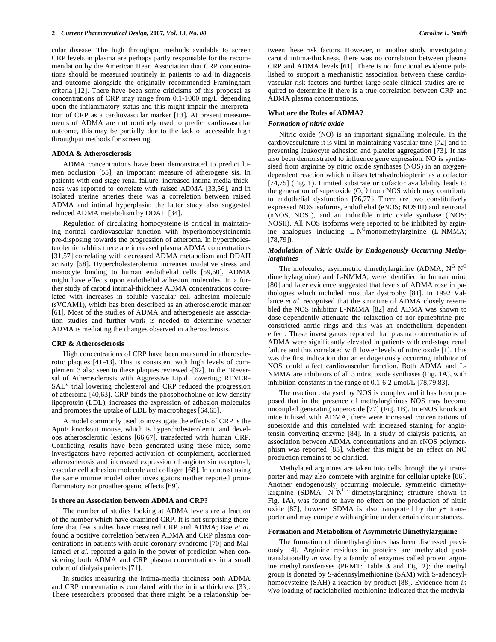cular disease. The high throughput methods available to screen CRP levels in plasma are perhaps partly responsible for the recommendation by the American Heart Association that CRP concentrations should be measured routinely in patients to aid in diagnosis and outcome alongside the originally recommended Framingham criteria [12]. There have been some criticisms of this proposal as concentrations of CRP may range from 0.1-1000 mg/L depending upon the inflammatory status and this might impair the interpretation of CRP as a cardiovascular marker [13]. At present measurements of ADMA are not routinely used to predict cardiovascular outcome, this may be partially due to the lack of accessible high throughput methods for screening.

# **ADMA & Atherosclerosis**

 ADMA concentrations have been demonstrated to predict lumen occlusion [55], an important measure of atherogene sis. In patients with end stage renal failure, increased intima-media thickness was reported to correlate with raised ADMA [33,56], and in isolated uterine arteries there was a correlation between raised ADMA and intimal hyperplasia; the latter study also suggested reduced ADMA metabolism by DDAH [34].

 Regulation of circulating homocysteine is critical in maintaining normal cardiovascular function with hyperhomocysteinemia pre-disposing towards the progression of atheroma. In hypercholesterolemic rabbits there are increased plasma ADMA concentrations [31,57] correlating with decreased ADMA metabolism and DDAH activity [58]. Hypercholesterolemia increases oxidative stress and monocyte binding to human endothelial cells [59,60], ADMA might have effects upon endothelial adhesion molecules. In a further study of carotid intimal-thickness ADMA concentrations correlated with increases in soluble vascular cell adhesion molecule (sVCAM1), which has been described as an atherosclerotic marker [61]. Most of the studies of ADMA and atherogenesis are association studies and further work is needed to determine whether ADMA is mediating the changes observed in atherosclerosis.

#### **CRP & Atherosclerosis**

 High concentrations of CRP have been measured in atherosclerotic plaques [41-43]. This is consistent with high levels of complement 3 also seen in these plaques reviewed -[62]. In the "Reversal of Atherosclerosis with Aggressive Lipid Lowering; REVER-SAL" trial lowering cholesterol and CRP reduced the progression of atheroma [40,63]. CRP binds the phosphocholine of low density lipoprotein (LDL), increases the expression of adhesion molecules and promotes the uptake of LDL by macrophages [64,65].

 A model commonly used to investigate the effects of CRP is the ApoE knockout mouse, which is hypercholesterolemic and develops atherosclerotic lesions [66,67], transfected with human CRP. Conflicting results have been generated using these mice, some investigators have reported activation of complement, accelerated atherosclerosis and increased expression of angiotensin receptor-1, vascular cell adhesion molecule and collagen [68]. In contrast using the same murine model other investigators neither reported proinflammatory nor proatherogenic effects [69].

# **Is there an Association between ADMA and CRP?**

 The number of studies looking at ADMA levels are a fraction of the number which have examined CRP. It is not surprising therefore that few studies have measured CRP and ADMA; Bae *et al.*  found a positive correlation between ADMA and CRP plasma concentrations in patients with acute coronary syndrome [70] and Mallamaci *et al.* reported a gain in the power of prediction when considering both ADMA and CRP plasma concentrations in a small cohort of dialysis patients [71].

 In studies measuring the intima-media thickness both ADMA and CRP concentrations correlated with the intima thickness [33]. These researchers proposed that there might be a relationship between these risk factors. However, in another study investigating carotid intima-thickness, there was no correlation between plasma CRP and ADMA levels [61]. There is no functional evidence published to support a mechanistic association between these cardiovascular risk factors and further large scale clinical studies are required to determine if there is a true correlation between CRP and ADMA plasma concentrations.

# **What are the Roles of ADMA?**

# *Formation of nitric oxide*

 Nitric oxide (NO) is an important signalling molecule. In the cardiovasculature it is vital in maintaining vascular tone [72] and in preventing leukocyte adhesion and platelet aggregation [73]. It has also been demonstrated to influence gene expression. NO is synthesised from arginine by nitric oxide synthases (NOS) in an oxygendependent reaction which utilises tetrahydrobiopterin as a cofactor [74,75] (Fig. **1**). Limited substrate or cofactor availability leads to the generation of superoxide  $(O_2^{\text{-}})$  from NOS which may contribute to endothelial dysfunction [76,77]*.* There are two constitutively expressed NOS isoforms, endothelial (eNOS; NOSIII) and neuronal (nNOS, NOSI), and an inducible nitric oxide synthase (iNOS; NOSII). All NOS isoforms were reported to be inhibited by arginine analogues including  $L-N^G$ monomethylarginine (L-NMMA; [78,79]).

# *Modulation of Nitric Oxide by Endogenously Occurring Methylarginines*

The molecules, asymmetric dimethylarginine (ADMA;  $N^G N^G$ dimethylarginine) and L-NMMA, were identified in human urine [80] and later evidence suggested that levels of ADMA rose in pathologies which included muscular dystrophy [81]. In 1992 Vallance *et al.* recognised that the structure of ADMA closely resembled the NOS inhibitor L-NMMA [82] and ADMA was shown to dose-dependently attenuate the relaxation of nor-epinephrine preconstricted aortic rings and this was an endothelium dependent effect. These investigators reported that plasma concentrations of ADMA were significantly elevated in patients with end-stage renal failure and this correlated with lower levels of nitric oxide [1]. This was the first indication that an endogenously occurring inhibitor of NOS could affect cardiovascular function. Both ADMA and L-NMMA are inhibitors of all 3 nitric oxide synthases (Fig. **1A**), with inhibition constants in the range of  $0.1$ -6.2 µmol/L [78,79,83].

 The reaction catalysed by NOS is complex and it has been proposed that in the presence of methylarginines NOS may become uncoupled generating superoxide [77] (Fig. **1B**). In eNOS knockout mice infused with ADMA, there were increased concentrations of superoxide and this correlated with increased staining for angiotensin converting enzyme [84]. In a study of dialysis patients, an association between ADMA concentrations and an eNOS polymorphism was reported [85], whether this might be an effect on NO production remains to be clarified.

 Methylated arginines are taken into cells through the y+ transporter and may also compete with arginine for cellular uptake [86]. Another endogenously occurring molecule, symmetric dimethylarginine (SDMA-  $N^G N^G$ -dimethylarginine; structure shown in Fig. **1A**), was found to have no effect on the production of nitric oxide [87], however SDMA is also transported by the  $y+$  transporter and may compete with arginine under certain circumstances.

# **Formation and Metabolism of Asymmetric Dimethylarginine**

 The formation of dimethylarginines has been discussed previously [4]. Arginine residues in proteins are methylated posttranslationally *in vivo* by a family of enzymes called protein arginine methyltransferases (PRMT: Table **3** and Fig. **2**): the methyl group is donated by S-adenosylmethionine (SAM) with S-adenosylhomocysteine (SAH) a reaction by-product [88]. Evidence from *in vivo* loading of radiolabelled methionine indicated that the methyla-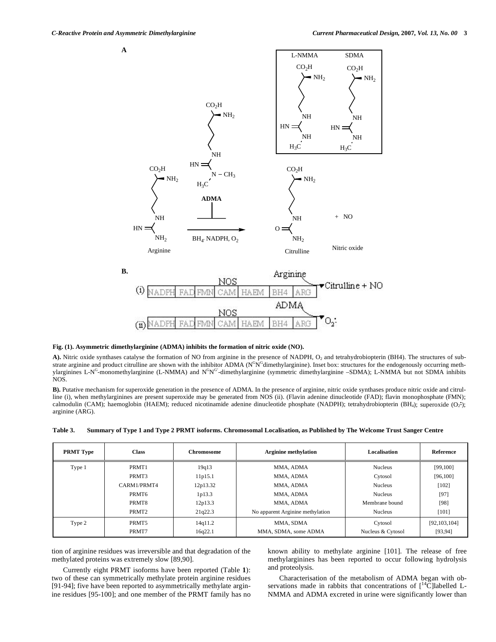

#### **Fig. (1). Asymmetric dimethylarginine (ADMA) inhibits the formation of nitric oxide (NO).**

A). Nitric oxide synthases catalyse the formation of NO from arginine in the presence of NADPH, O<sub>2</sub> and tetrahydrobiopterin (BH4). The structures of substrate arginine and product citrulline are shown with the inhibitor ADMA (N<sup>G</sup>N<sup>G</sup>dimethylarginine). Inset box: structures for the endogenously occurring methylarginines L-N<sup>G</sup>-monomethylarginine (L-NMMA) and N<sup>G</sup>N<sup>G</sup>-dimethylarginine (symmetric dimethylarginine -SDMA); L-NMMA but not SDMA inhibits NOS.

**B).** Putative mechanism for superoxide generation in the presence of ADMA. In the presence of arginine, nitric oxide synthases produce nitric oxide and citrulline (i), when methylarginines are present superoxide may be generated from NOS (ii). (Flavin adenine dinucleotide (FAD); flavin monophosphate (FMN); calmodulin (CAM); haemoglobin (HAEM); reduced nicotinamide adenine dinucleotide phosphate (NADPH); tetrahydrobiopterin (BH<sub>4</sub>); superoxide (O<sub>2</sub><sup>+</sup>); arginine (ARG).

| <b>PRMT Type</b> | <b>Class</b>               | Chromosome | <b>Arginine methylation</b>      | Localisation      | Reference      |
|------------------|----------------------------|------------|----------------------------------|-------------------|----------------|
| Type 1           | PRMT <sub>1</sub><br>19q13 |            | MMA, ADMA                        | <b>Nucleus</b>    | [99, 100]      |
|                  | PRMT3                      | 11p15.1    | MMA, ADMA                        | Cytosol           | [96, 100]      |
|                  | CARM1/PRMT4                | 12p13.32   | MMA, ADMA                        | <b>Nucleus</b>    | $[102]$        |
|                  | PRMT6                      | 1p13.3     | MMA, ADMA                        | <b>Nucleus</b>    | [97]           |
|                  | PRMT8                      | 12p13.3    | MMA, ADMA                        | Membrane bound    | [98]           |
|                  | PRMT <sub>2</sub>          | 21q22.3    | No apparent Arginine methylation | <b>Nucleus</b>    | $[101]$        |
| Type 2           | PRMT5                      | 14q11.2    | MMA, SDMA                        | Cytosol           | [92, 103, 104] |
|                  | PRMT7                      | 16q22.1    | MMA, SDMA, some ADMA             | Nucleus & Cytosol | [93, 94]       |

**Table 3. Summary of Type 1 and Type 2 PRMT isoforms. Chromosomal Localisation, as Published by The Welcome Trust Sanger Centre** 

tion of arginine residues was irreversible and that degradation of the methylated proteins was extremely slow [89,90].

 Currently eight PRMT isoforms have been reported (Table **1**): two of these can symmetrically methylate protein arginine residues [91-94]; five have been reported to asymmetrically methylate arginine residues [95-100]; and one member of the PRMT family has no known ability to methylate arginine [101]. The release of free methylarginines has been reported to occur following hydrolysis and proteolysis.

 Characterisation of the metabolism of ADMA began with observations made in rabbits that concentrations of  $\int_{0}^{14}$ C]labelled L-NMMA and ADMA excreted in urine were significantly lower than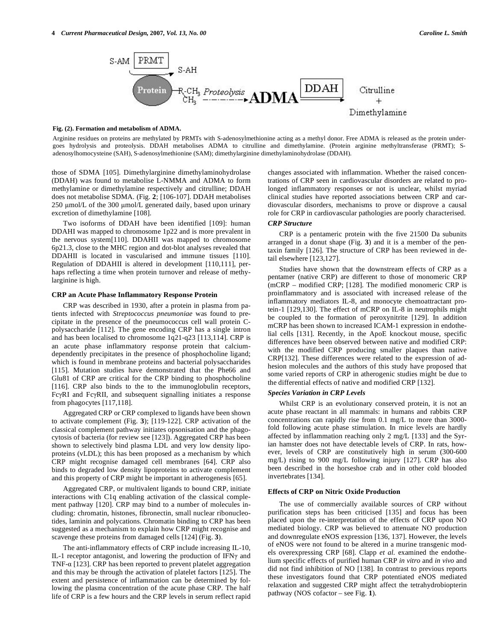

#### **Fig. (2). Formation and metabolism of ADMA.**

Arginine residues on proteins are methylated by PRMTs with S-adenosylmethionine acting as a methyl donor. Free ADMA is released as the protein undergoes hydrolysis and proteolysis. DDAH metabolises ADMA to citrulline and dimethylamine. (Protein arginine methyltransferase (PRMT); Sadenosylhomocysteine (SAH), S-adenosylmethionine (SAM); dimethylarginine dimethylaminohydrolase (DDAH).

those of SDMA [105]. Dimethylarginine dimethylaminohydrolase (DDAH) was found to metabolise L-NMMA and ADMA to form methylamine or dimethylamine respectively and citrulline; DDAH does not metabolise SDMA. (Fig. **2**; [106-107]. DDAH metabolises 250 µmol/L of the 300 µmol/L generated daily, based upon urinary excretion of dimethylamine [108].

 Two isoforms of DDAH have been identified [109]: human DDAHI was mapped to chromosome 1p22 and is more prevalent in the nervous system[110]. DDAHII was mapped to chromosome 6p21.3, close to the MHC region and dot-blot analyses revealed that DDAHII is located in vascularised and immune tissues [110]. Regulation of DDAHII is altered in development [110,111], perhaps reflecting a time when protein turnover and release of methylarginine is high.

# **CRP an Acute Phase Inflammatory Response Protein**

 CRP was described in 1930, after a protein in plasma from patients infected with *Streptococcus pneumoniae* was found to precipitate in the presence of the pneumococcus cell wall protein Cpolysaccharide [112]. The gene encoding CRP has a single intron and has been localised to chromosome 1q21-q23 [113,114]. CRP is an acute phase inflammatory response protein that calciumdependently precipitates in the presence of phosphocholine ligand; which is found in membrane proteins and bacterial polysaccharides [115]. Mutation studies have demonstrated that the Phe66 and Glu81 of CRP are critical for the CRP binding to phosphocholine [116]. CRP also binds to the to the immunoglobulin receptors, FcyRI and FcyRII, and subsequent signalling initiates a response from phagocytes [117,118].

 Aggregated CRP or CRP complexed to ligands have been shown to activate complement (Fig. **3**); [119-122]. CRP activation of the classical complement pathway initiates opsonisation and the phagocytosis of bacteria (for review see [123]). Aggregated CRP has been shown to selectively bind plasma LDL and very low density lipoproteins (vLDL); this has been proposed as a mechanism by which CRP might recognise damaged cell membranes [64]. CRP also binds to degraded low density lipoproteins to activate complement and this property of CRP might be important in atherogenesis [65].

 Aggregated CRP, or multivalent ligands to bound CRP, initiate interactions with C1q enabling activation of the classical complement pathway [120]. CRP may bind to a number of molecules including: chromatin, histones, fibronectin, small nuclear ribonucleotides, laminin and polycations. Chromatin binding to CRP has been suggested as a mechanism to explain how CRP might recognise and scavenge these proteins from damaged cells [124] (Fig. **3**).

 The anti-inflammatory effects of CRP include increasing IL-10, IL-1 receptor antagonist, and lowering the production of IFN $\gamma$  and TNF- $\alpha$  [123]. CRP has been reported to prevent platelet aggregation and this may be through the activation of platelet factors [125]. The extent and persistence of inflammation can be determined by following the plasma concentration of the acute phase CRP. The half life of CRP is a few hours and the CRP levels in serum reflect rapid

changes associated with inflammation. Whether the raised concentrations of CRP seen in cardiovascular disorders are related to prolonged inflammatory responses or not is unclear, whilst myriad clinical studies have reported associations between CRP and cardiovascular disorders, mechanisms to prove or disprove a causal role for CRP in cardiovascular pathologies are poorly characterised.

# *CRP Structure*

 CRP is a pentameric protein with the five 21500 Da subunits arranged in a donut shape (Fig. **3**) and it is a member of the pentaxin family [126]. The structure of CRP has been reviewed in detail elsewhere [123,127].

 Studies have shown that the downstream effects of CRP as a pentamer (native CRP) are different to those of monomeric CRP (mCRP – modified CRP; [128]. The modified monomeric CRP is proinflammatory and is associated with increased release of the inflammatory mediators IL-8, and monocyte chemoattractant protein-1 [129,130]. The effect of mCRP on IL-8 in neutrophils might be coupled to the formation of peroxynitrite [129]. In addition mCRP has been shown to increased ICAM-1 expression in endothelial cells [131]. Recently, in the ApoE knockout mouse, specific differences have been observed between native and modified CRP: with the modified CRP producing smaller plaques than native CRP[132]. These differences were related to the expression of adhesion molecules and the authors of this study have proposed that some varied reports of CRP in atherogenic studies might be due to the differential effects of native and modified CRP [132].

# *Species Variation in CRP Levels*

 Whilst CRP is an evolutionary conserved protein, it is not an acute phase reactant in all mammals: in humans and rabbits CRP concentrations can rapidly rise from 0.1 mg/L to more than 3000 fold following acute phase stimulation. In mice levels are hardly affected by inflammation reaching only 2 mg/L [133] and the Syrian hamster does not have detectable levels of CRP. In rats, however, levels of CRP are constitutively high in serum (300-600 mg/L) rising to 900 mg/L following injury [127]. CRP has also been described in the horseshoe crab and in other cold blooded invertebrates [134].

## **Effects of CRP on Nitric Oxide Production**

 The use of commercially available sources of CRP without purification steps has been criticised [135] and focus has been placed upon the re-interpretation of the effects of CRP upon NO mediated biology. CRP was believed to attenuate NO production and downregulate eNOS expression [136, 137]. However, the levels of eNOS were not found to be altered in a murine transgenic models overexpressing CRP [68]. Clapp *et al.* examined the endothelium specific effects of purified human CRP *in vitro* and *in vivo* and did not find inhibition of NO [138]. In contrast to previous reports these investigators found that CRP potentiated eNOS mediated relaxation and suggested CRP might affect the tetrahydrobiopterin pathway (NOS cofactor – see Fig. **1**).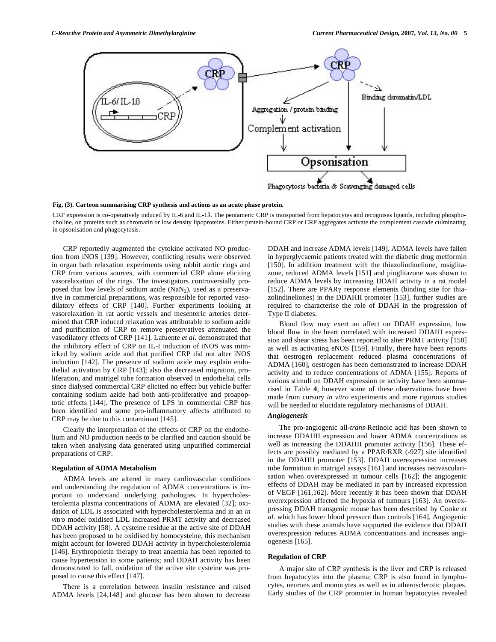

**Fig. (3). Cartoon summarising CRP synthesis and actions as an acute phase protein.** 

CRP expression is co-operatively induced by IL-6 and IL-1ß. The pentameric CRP is transported from hepatocytes and recognises ligands, including phosphocholine, on proteins such as chromatin or low density lipoproteins. Either protein-bound CRP or CRP aggregates activate the complement cascade culminating in opsonisation and phagocytosis.

 CRP reportedly augmented the cytokine activated NO production from iNOS [139]. However, conflicting results were observed in organ bath relaxation experiments using rabbit aortic rings and CRP from various sources, with commercial CRP alone eliciting vasorelaxation of the rings. The investigators controversially proposed that low levels of sodium azide (NaN<sub>3</sub>), used as a preservative in commercial preparations, was responsible for reported vasodilatory effects of CRP [140]. Further experiments looking at vasorelaxation in rat aortic vessels and mesenteric arteries determined that CRP induced relaxation was attributable to sodium azide and purification of CRP to remove preservatives attenuated the vasodilatory effects of CRP [141]. Lafuente *et al.* demonstrated that the inhibitory effect of CRP on IL-I induction of iNOS was mimicked by sodium azide and that purified CRP did not alter iNOS induction [142]. The presence of sodium azide may explain endothelial activation by CRP [143]; also the decreased migration, proliferation, and matrigel tube formation observed in endothelial cells since dialysed commercial CRP elicited no effect but vehicle buffer containing sodium azide had both anti-proliferative and proapoptotic effects [144]. The presence of LPS in commercial CRP has been identified and some pro-inflammatory affects attributed to CRP may be due to this contaminant [145].

 Clearly the interpretation of the effects of CRP on the endothelium and NO production needs to be clarified and caution should be taken when analysing data generated using unpurified commercial preparations of CRP.

# **Regulation of ADMA Metabolism**

 ADMA levels are altered in many cardiovascular conditions and understanding the regulation of ADMA concentrations is important to understand underlying pathologies. In hypercholesterolemia plasma concentrations of ADMA are elevated [32]; oxidation of LDL is associated with hypercholesterolemia and in an *in vitro* model oxidised LDL increased PRMT activity and decreased DDAH activity [58]. A cysteine residue at the active site of DDAH has been proposed to be oxidised by homocysteine, this mechanism might account for lowered DDAH activity in hypercholesterolemia [146]. Erythropoietin therapy to treat anaemia has been reported to cause hypertension in some patients; and DDAH activity has been demonstrated to fall, oxidation of the active site cysteine was proposed to cause this effect [147].

 There is a correlation between insulin resistance and raised ADMA levels [24,148] and glucose has been shown to decrease DDAH and increase ADMA levels [149]. ADMA levels have fallen in hyperglycaemic patients treated with the diabetic drug metformin [150]. In addition treatment with the thiazolindinelione, rosiglitazone, reduced ADMA levels [151] and pioglitazone was shown to reduce ADMA levels by increasing DDAH activity in a rat model [152]. There are PPAR $\gamma$  response elements (binding site for thiazolindineliones) in the DDAHII promoter [153], further studies are required to characterise the role of DDAH in the progression of Type II diabetes.

 Blood flow may exert an affect on DDAH expression, low blood flow in the heart correlated with increased DDAHI expression and shear stress has been reported to alter PRMT activity [158] as well as activating eNOS [159]. Finally, there have been reports that oestrogen replacement reduced plasma concentrations of ADMA [160], oestrogen has been demonstrated to increase DDAH activity and to reduce concentrations of ADMA [155]. Reports of various stimuli on DDAH expression or activity have been summarised in Table **4**, however some of these observations have been made from cursory *in vitro* experiments and more rigorous studies will be needed to elucidate regulatory mechanisms of DDAH.

# *Angiogenesis*

 The pro-angiogenic all-*trans*-Retinoic acid has been shown to increase DDAHII expression and lower ADMA concentrations as well as increasing the DDAHII promoter activity [156]. These effects are possibly mediated by a PPAR/RXR (-927) site identified in the DDAHII promoter [153]. DDAH overexpression increases tube formation in matrigel assays [161] and increases neovascularisation when overexpressed in tumour cells [162]; the angiogenic effects of DDAH may be mediated in part by increased expression of VEGF [161,162]. More recently it has been shown that DDAH overexpression affected the hypoxia of tumours [163]. An overexpressing DDAH transgenic mouse has been described by Cooke *et al.* which has lower blood pressure than controls [164]. Angiogenic studies with these animals have supported the evidence that DDAH overexpression reduces ADMA concentrations and increases angiogenesis [165].

# **Regulation of CRP**

 A major site of CRP synthesis is the liver and CRP is released from hepatocytes into the plasma; CRP is also found in lymphocytes, neurons and monocytes as well as in atherosclerotic plaques. Early studies of the CRP promoter in human hepatocytes revealed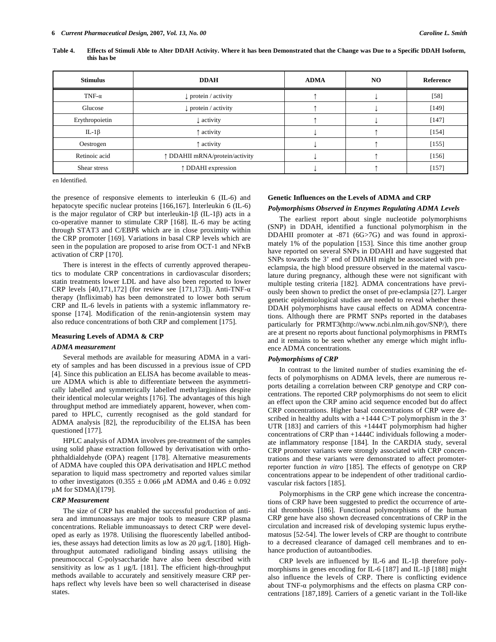| <b>Stimulus</b> | <b>DDAH</b>                     | <b>ADMA</b> | NO. | Reference |
|-----------------|---------------------------------|-------------|-----|-----------|
| TNF- $\alpha$   | $\downarrow$ protein / activity |             |     | $[58]$    |
| Glucose         | $\downarrow$ protein / activity |             |     | [149]     |
| Erythropoietin  | $\downarrow$ activity           |             |     | [147]     |
| IL-1 $\beta$    | ↑ activity                      |             |     | [154]     |
| Oestrogen       | $\uparrow$ activity             |             |     | [155]     |
| Retinoic acid   | ↑ DDAHII mRNA/protein/activity  |             |     | $[156]$   |
| Shear stress    | DDAHI expression                |             |     | [157]     |

**Table 4. Effects of Stimuli Able to Alter DDAH Activity. Where it has been Demonstrated that the Change was Due to a Specific DDAH Isoform, this has be** 

en Identified.

the presence of responsive elements to interleukin 6 (IL-6) and hepatocyte specific nuclear proteins [166,167]. Interleukin 6 (IL-6) is the major regulator of CRP but interleukin-1 $\beta$  (IL-1 $\beta$ ) acts in a co-operative manner to stimulate CRP [168]. IL-6 may be acting through STAT3 and C/EBPß which are in close proximity within the CRP promoter [169]. Variations in basal CRP levels which are seen in the population are proposed to arise from OCT-1 and NFKB activation of CRP [170].

 There is interest in the effects of currently approved therapeutics to modulate CRP concentrations in cardiovascular disorders; statin treatments lower LDL and have also been reported to lower CRP levels  $[40,171,172]$  (for review see  $[171,173]$ ). Anti-TNF- $\alpha$ therapy (Infliximab) has been demonstrated to lower both serum CRP and IL-6 levels in patients with a systemic inflammatory response [174]. Modification of the renin-angiotensin system may also reduce concentrations of both CRP and complement [175].

# **Measuring Levels of ADMA & CRP**

# *ADMA measurement*

 Several methods are available for measuring ADMA in a variety of samples and has been discussed in a previous issue of CPD [4]. Since this publication an ELISA has become available to measure ADMA which is able to differentiate between the asymmetrically labelled and symmetrically labelled methylarginines despite their identical molecular weights [176]. The advantages of this high throughput method are immediately apparent, however, when compared to HPLC, currently recognised as the gold standard for ADMA analysis [82], the reproducibility of the ELISA has been questioned [177].

 HPLC analysis of ADMA involves pre-treatment of the samples using solid phase extraction followed by derivatisation with orthophthaldialdehyde (OPA) reagent [178]. Alternative measurements of ADMA have coupled this OPA derivatisation and HPLC method separation to liquid mass spectrometry and reported values similar to other investigators (0.355  $\pm$  0.066 µM ADMA and 0.46  $\pm$  0.092  $\mu$ M for SDMA)[179].

#### *CRP Measurement*

 The size of CRP has enabled the successful production of antisera and immunoassays are major tools to measure CRP plasma concentrations. Reliable immunoassays to detect CRP were developed as early as 1978. Utilising the fluorescently labelled antibodies, these assays had detection limits as low as  $20 \mu g/L$  [180]. Highthroughput automated radioligand binding assays utilising the pneumococcal C-polysaccharide have also been described with sensitivity as low as  $1 \mu g/L$  [181]. The efficient high-throughput methods available to accurately and sensitively measure CRP perhaps reflect why levels have been so well characterised in disease states.

# **Genetic Influences on the Levels of ADMA and CRP**  *Polymorphisms Observed in Enzymes Regulating ADMA Levels*

 The earliest report about single nucleotide polymorphisms (SNP) in DDAH, identified a functional polymorphism in the DDAHII promoter at -871 (6G>7G) and was found in approximately 1% of the population [153]. Since this time another group have reported on several SNPs in DDAHI and have suggested that SNPs towards the 3' end of DDAHI might be associated with preeclampsia, the high blood pressure observed in the maternal vasculature during pregnancy, although these were not significant with multiple testing criteria [182]. ADMA concentrations have previously been shown to predict the onset of pre-eclampsia [27]. Larger genetic epidemiological studies are needed to reveal whether these DDAH polymorphisms have causal effects on ADMA concentrations. Although there are PRMT SNPs reported in the databases particularly for PRMT3(http://www.ncbi.nlm.nih.gov/SNP/), there are at present no reports about functional polymorphisms in PRMTs and it remains to be seen whether any emerge which might influence ADMA concentrations.

# *Polymorphisms of CRP*

 In contrast to the limited number of studies examining the effects of polymorphisms on ADMA levels, there are numerous reports detailing a correlation between CRP genotype and CRP concentrations. The reported CRP polymorphisms do not seem to elicit an effect upon the CRP amino acid sequence encoded but do affect CRP concentrations. Higher basal concentrations of CRP were described in healthy adults with a +1444 C>T polymorphism in the 3' UTR [183] and carriers of this +1444T polymorphism had higher concentrations of CRP than +1444C individuals following a moderate inflammatory response [184]. In the CARDIA study, several CRP promoter variants were strongly associated with CRP concentrations and these variants were demonstrated to affect promoterreporter function *in vitro* [185]. The effects of genotype on CRP concentrations appear to be independent of other traditional cardiovascular risk factors [185].

 Polymorphisms in the CRP gene which increase the concentrations of CRP have been suggested to predict the occurrence of arterial thrombosis [186]. Functional polymorphisms of the human CRP gene have also shown decreased concentrations of CRP in the circulation and increased risk of developing systemic lupus erythematosus [52-54]. The lower levels of CRP are thought to contribute to a decreased clearance of damaged cell membranes and to enhance production of autoantibodies.

CRP levels are influenced by IL-6 and IL-1 $\beta$  therefore polymorphisms in genes encoding for IL-6 [187] and IL-1 $\beta$  [188] might also influence the levels of CRP. There is conflicting evidence about TNF- $\alpha$  polymorphisms and the effects on plasma CRP concentrations [187,189]. Carriers of a genetic variant in the Toll-like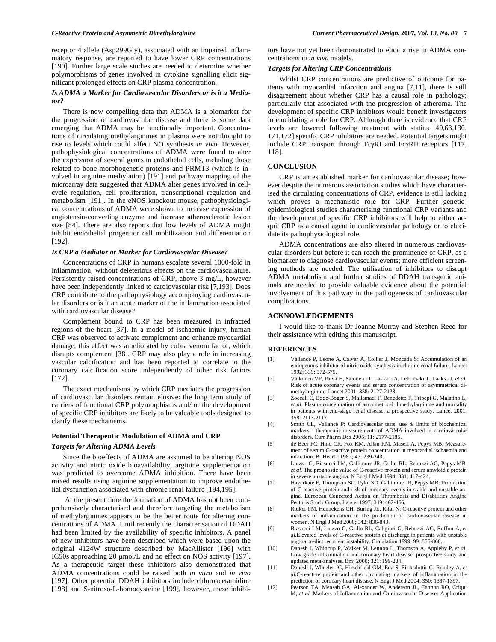# *C-Reactive Protein and Asymmetric Dimethylarginine Current Pharmaceutical Design,* **2007***, Vol. 13, No. 00* **7**

receptor 4 allele (Asp299Gly), associated with an impaired inflammatory response, are reported to have lower CRP concentrations [190]. Further large scale studies are needed to determine whether polymorphisms of genes involved in cytokine signalling elicit significant prolonged effects on CRP plasma concentration.

# *Is ADMA a Marker for Cardiovascular Disorders or is it a Mediator?*

 There is now compelling data that ADMA is a biomarker for the progression of cardiovascular disease and there is some data emerging that ADMA may be functionally important. Concentrations of circulating methylarginines in plasma were not thought to rise to levels which could affect NO synthesis *in vivo*. However, pathophysiological concentrations of ADMA were found to alter the expression of several genes in endothelial cells, including those related to bone morphogenetic proteins and PRMT3 (which is involved in arginine methylation) [191] and pathway mapping of the microarray data suggested that ADMA alter genes involved in cellcycle regulation, cell proliferation, transcriptional regulation and metabolism [191]. In the eNOS knockout mouse, pathophysiological concentrations of ADMA were shown to increase expression of angiotensin-converting enzyme and increase atherosclerotic lesion size [84]. There are also reports that low levels of ADMA might inhibit endothelial progenitor cell mobilization and differentiation [192].

#### *Is CRP a Mediator or Marker for Cardiovascular Disease?*

 Concentrations of CRP in humans escalate several 1000-fold in inflammation, without deleterious effects on the cardiovasculature. Persistently raised concentrations of CRP, above 3 mg/L, however have been independently linked to cardiovascular risk [7,193]. Does CRP contribute to the pathophysiology accompanying cardiovascular disorders or is it an acute marker of the inflammation associated with cardiovascular disease?

 Complement bound to CRP has been measured in infracted regions of the heart [37]. In a model of ischaemic injury, human CRP was observed to activate complement and enhance myocardial damage, this effect was ameliorated by cobra venom factor, which disrupts complement [38]. CRP may also play a role in increasing vascular calcification and has been reported to correlate to the coronary calcification score independently of other risk factors [172].

 The exact mechanisms by which CRP mediates the progression of cardiovascular disorders remain elusive: the long term study of carriers of functional CRP polymorphisms and/ or the development of specific CRP inhibitors are likely to be valuable tools designed to clarify these mechanisms.

# **Potential Therapeutic Modulation of ADMA and CRP**

#### *Targets for Altering ADMA Levels*

 Since the bioeffects of ADMA are assumed to be altering NOS activity and nitric oxide bioavailability, arginine supplementation was predicted to overcome ADMA inhibition. There have been mixed results using arginine supplementation to improve endothelial dysfunction associated with chronic renal failure [194,195].

 At the present time the formation of ADMA has not been comprehensively characterised and therefore targeting the metabolism of methylarginines appears to be the better route for altering concentrations of ADMA. Until recently the characterisation of DDAH had been limited by the availability of specific inhibitors. A panel of new inhibitors have been described which were based upon the original 4124W structure described by MacAllister [196] with IC50s approaching 20 µmol/L and no effect on NOS activity [197]. As a therapeutic target these inhibitors also demonstrated that ADMA concentrations could be raised both *in vitro* and *in vivo* [197]. Other potential DDAH inhibitors include chloroacetamidine [198] and S-nitroso-L-homocysteine [199], however, these inhibitors have not yet been demonstrated to elicit a rise in ADMA concentrations in *in vivo* models.

# *Targets for Altering CRP Concentrations*

 Whilst CRP concentrations are predictive of outcome for patients with myocardial infarction and angina [7,11], there is still disagreement about whether CRP has a causal role in pathology; particularly that associated with the progression of atheroma. The development of specific CRP inhibitors would benefit investigators in elucidating a role for CRP. Although there is evidence that CRP levels are lowered following treatment with statins [40,63,130, 171,172] specific CRP inhibitors are needed. Potential targets might include CRP transport through  $Fc\gamma RI$  and  $Fc\gamma RI$  receptors [117, 118].

# **CONCLUSION**

 CRP is an established marker for cardiovascular disease; however despite the numerous association studies which have characterised the circulating concentrations of CRP, evidence is still lacking which proves a mechanistic role for CRP. Further geneticepidemiological studies characterising functional CRP variants and the development of specific CRP inhibitors will help to either acquit CRP as a causal agent in cardiovascular pathology or to elucidate its pathophysiological role.

 ADMA concentrations are also altered in numerous cardiovascular disorders but before it can reach the prominence of CRP, as a biomarker to diagnose cardiovascular events; more efficient screening methods are needed. The utilisation of inhibitors to disrupt ADMA metabolism and further studies of DDAH transgenic animals are needed to provide valuable evidence about the potential involvement of this pathway in the pathogenesis of cardiovascular complications.

# **ACKNOWLEDGEMENTS**

 I would like to thank Dr Joanne Murray and Stephen Reed for their assistance with editing this manuscript.

# **REFERENCES**

- [1] Vallance P, Leone A, Calver A, Collier J, Moncada S: Accumulation of an endogenous inhibitor of nitric oxide synthesis in chronic renal failure. Lancet 1992; 339: 572-575.
- [2] Valkonen VP, Paiva H, Salonen JT, Lakka TA, Lehtimaki T, Laakso J*, et al.* Risk of acute coronary events and serum concentration of asymmetrical dimethylarginine. Lancet 2001; 358: 2127-2128.
- [3] Zoccali C, Bode-Boger S, Mallamaci F, Benedetto F, Tripepi G, Malatino L*, et al.* Plasma concentration of asymmetrical dimethylarginine and mortality in patients with end-stage renal disease: a prospective study. Lancet 2001; 358: 2113-2117.
- [4] Smith CL, Vallance P: Cardiovascular tests: use & limits of biochemical markers - therapeutic measurements of ADMA involved in cardiovascular disorders. Curr Pharm Des 2005; 11: 2177-2185.
- [5] de Beer FC, Hind CR, Fox KM, Allan RM, Maseri A, Pepys MB: Measurement of serum C-reactive protein concentration in myocardial ischaemia and infarction. Br Heart J 1982; 47: 239-243.
- [6] Liuzzo G, Biasucci LM, Gallimore JR, Grillo RL, Rebuzzi AG, Pepys MB*, et al.* The prognostic value of C-reactive protein and serum amyloid a protein in severe unstable angina. N Engl J Med 1994; 331: 417-424.
- [7] Haverkate F, Thompson SG, Pyke SD, Gallimore JR, Pepys MB: Production of C-reactive protein and risk of coronary events in stable and unstable angina. European Concerted Action on Thrombosis and Disabilities Angina Pectoris Study Group. Lancet 1997; 349: 462-466.
- [8] Ridker PM, Hennekens CH, Buring JE, Rifai N: C-reactive protein and other markers of inflammation in the prediction of cardiovascular disease in women. N Engl J Med 2000; 342: 836-843.
- [9] Biasucci LM, Liuzzo G, Grillo RL, Caligiuri G, Rebuzzi AG, Buffon A*, et al.*Elevated levels of C-reactive protein at discharge in patients with unstable angina predict recurrent instability. Circulation 1999; 99: 855-860.
- [10] Danesh J, Whincup P, Walker M, Lennon L, Thomson A, Appleby P*, et al.* Low grade inflammation and coronary heart disease: prospective study and updated meta-analyses. Bmj 2000; 321: 199-204.
- [11] Danesh J, Wheeler JG, Hirschfield GM, Eda S, Eiriksdottir G, Rumley A*, et al.*C-reactive protein and other circulating markers of inflammation in the prediction of coronary heart disease. N Engl J Med 2004; 350: 1387-1397.
- [12] Pearson TA, Mensah GA, Alexander W, Anderson JL, Cannon RO, Criqui M*, et al.* Markers of Inflammation and Cardiovascular Disease: Application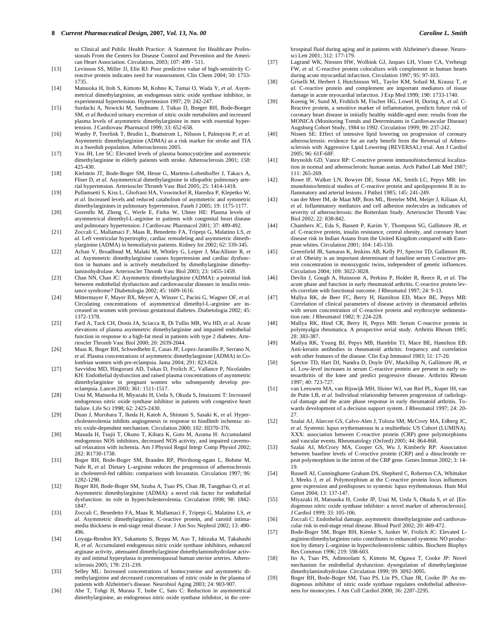# **8** *Current Pharmaceutical Design,* **2007***, Vol. 13, No. 00 Caroline L. Smith*

to Clinical and Public Health Practice: A Statement for Healthcare Professionals From the Centers for Disease Control and Prevention and the American Heart Association. Circulation, 2003; 107: 499 - 511.

- [13] Levinson SS, Miller JJ, Elin RJ: Poor predictive value of high-sensitivity Creactive protein indicates need for reassessment. Clin Chem 2004; 50: 1733- 1735.
- [14] Matsuoka H, Itoh S, Kimoto M, Kohno K, Tamai O, Wada Y*, et al.* Asymmetrical dimethylarginine, an endogenous nitric oxide synthase inhibitor, in experimental hypertension. Hypertension 1997; 29: 242-247.
- [15] Surdacki A, Nowicki M, Sandmann J, Tsikas D, Boeger RH, Bode-Boeger SM*, et al.*Reduced urinary excretion of nitric oxide metabolites and increased plasma levels of asymmetric dimethylarginine in men with essential hypertension. J Cardiovasc Pharmacol 1999; 33: 652-658.
- [16] Wanby P, Teerlink T, Brudin L, Brattstrom L, Nilsson I, Palmqvist P*, et al.* Asymmetric dimethylarginine (ADMA) as a risk marker for stroke and TIA in a Swedish population. Atherosclerosis 2005.
- [17] Yoo JH, Lee SC: Elevated levels of plasma homocyst(e)ine and asymmetric dimethylarginine in elderly patients with stroke. Atherosclerosis 2001; 158: 425-430.
- [18] Kielstein JT, Bode-Boger SM, Hesse G, Martens-Lobenhoffer J, Takacs A, Fliser D*, et al.* Asymmetrical dimethylarginine in idiopathic pulmonary arterial hypertension. Arterioscler Thromb Vasc Biol 2005; 25: 1414-1418.
- [19] Pullamsetti S, Kiss L, Ghofrani HA, Voswinckel R, Haredza P, Klepetko W*, et al.* Increased levels and reduced catabolism of asymmetric and symmetric dimethylarginines in pulmonary hypertension. Faseb J 2005; 19: 1175-1177.
- [20] Gorenflo M, Zheng C, Werle E, Fiehn W, Ulmer HE: Plasma levels of asymmetrical dimethyl-L-arginine in patients with congenital heart disease and pulmonary hypertension. J Cardiovasc Pharmacol 2001; 37: 489-492.
- [21] Zoccali C, Mallamaci F, Maas R, Benedetto FA, Tripepi G, Malatino LS*, et al.* Left ventricular hypertrophy, cardiac remodeling and asymmetric dimethylarginine (ADMA) in hemodialysis patients. Kidney Int 2002; 62: 339-345.
- [22] Achan V, Broadhead M, Malaki M, Whitley G, Leiper J, MacAllister R*, et al.* Asymmetric dimethylarginine causes hypertension and cardiac dysfunction in humans and is actively metabolized by dimethylarginine dimethylaminohydrolase. Arterioscler Thromb Vasc Biol 2003; 23: 1455-1459.
- [23] Chan NN, Chan JC: Asymmetric dimethylarginine (ADMA): a potential link between endothelial dysfunction and cardiovascular diseases in insulin resistance syndrome? Diabetologia 2002; 45: 1609-1616.
- [24] Mittermayer F, Mayer BX, Meyer A, Winzer C, Pacini G, Wagner OF*, et al.* Circulating concentrations of asymmetrical dimethyl-L-arginine are increased in women with previous gestational diabetes. Diabetologia 2002; 45: 1372-1378.
- [25] Fard A, Tuck CH, Donis JA, Sciacca R, Di Tullio MR, Wu HD*, et al.* Acute elevations of plasma asymmetric dimethylarginine and impaired endothelial function in response to a high-fat meal in patients with type 2 diabetes. Arterioscler Thromb Vasc Biol 2000; 20: 2039-2044.
- [26] Maas R, Boger RH, Schwedhelm E, Casas JP, Lopez-Jaramillo P, Serrano N*, et al.* Plasma concentrations of asymmetric dimethylarginine (ADMA) in Colombian women with pre-eclampsia. Jama 2004; 291: 823-824.
- [27] Savvidou MD, Hingorani AD, Tsikas D, Frolich JC, Vallance P, Nicolaides KH: Endothelial dysfunction and raised plasma concentrations of asymmetric dimethylarginine in pregnant women who subsequently develop preeclampsia. Lancet 2003; 361: 1511-1517.
- [28] Usui M, Matsuoka H, Miyazaki H, Ueda S, Okuda S, Imaizumi T: Increased endogenous nitric oxide synthase inhibitor in patients with congestive heart failure. Life Sci 1998; 62: 2425-2430.
- [29] Duan J, Murohara T, Ikeda H, Katoh A, Shintani S, Sasaki K*, et al.* Hypercholesterolemia inhibits angiogenesis in response to hindlimb ischemia: nitric oxide-dependent mechanism. Circulation 2000; 102: III370-376.
- [30] Masuda H, Tsujii T, Okuno T, Kihara K, Goto M, Azuma H: Accumulated endogenous NOS inhibitors, decreased NOS activity, and impaired cavernosal relaxation with ischemia. Am J Physiol Regul Integr Comp Physiol 2002; 282: R1730-1738.
- [31] Boger RH, Bode-Boger SM, Brandes RP, Phivthong-ngam L, Bohme M, Nafe R*, et al.* Dietary L-arginine reduces the progression of atherosclerosis in cholesterol-fed rabbits: comparison with lovastatin. Circulation 1997; 96: 1282-1290.
- [32] Boger RH, Bode-Boger SM, Szuba A, Tsao PS, Chan JR, Tangphao O*, et al.* Asymmetric dimethylarginine (ADMA): a novel risk factor for endothelial dysfunction: its role in hypercholesterolemia. Circulation 1998; 98: 1842- 1847.
- [33] Zoccali C, Benedetto FA, Maas R, Mallamaci F, Tripepi G, Malatino LS*, et al.* Asymmetric dimethylarginine, C-reactive protein, and carotid intimamedia thickness in end-stage renal disease. J Am Soc Nephrol 2002; 13: 490- 496.
- [34] Loyaga-Rendon RY, Sakamoto S, Beppu M, Aso T, Ishizaka M, Takahashi R*, et al.* Accumulated endogenous nitric oxide synthase inhibitors, enhanced arginase activity, attenuated dimethylarginine dimethylaminohydrolase activity and intimal hyperplasia in premenopausal human uterine arteries. Atherosclerosis 2005; 178: 231-239.
- [35] Selley ML: Increased concentrations of homocysteine and asymmetric dimethylarginine and decreased concentrations of nitric oxide in the plasma of patients with Alzheimer's disease. Neurobiol Aging 2003; 24: 903-907.
- [36] Abe T, Tohgi H, Murata T, Isobe C, Sato C: Reduction in asymmetrical dimethylarginine, an endogenous nitric oxide synthase inhibitor, in the cere-

brospinal fluid during aging and in patients with Alzheimer's disease. Neurosci Lett 2001; 312: 177-179.

- [37] Lagrand WK, Niessen HW, Wolbink GJ, Jaspars LH, Visser CA, Verheugt FW*, et al.* C-reactive protein colocalizes with complement in human hearts during acute myocardial infarction. Circulation 1997; 95: 97-103.
- [38] Griselli M, Herbert J, Hutchinson WL, Taylor KM, Sohail M, Krausz T*, et al.* C-reactive protein and complement are important mediators of tissue damage in acute myocardial infarction. J Exp Med 1999; 190: 1733-1740.
- [39] Koenig W, Sund M, Frohlich M, Fischer HG, Lowel H, Doring A*, et al.* C-Reactive protein, a sensitive marker of inflammation, predicts future risk of coronary heart disease in initially healthy middle-aged men: results from the MONICA (Monitoring Trends and Determinants in Cardiovascular Disease) Augsburg Cohort Study, 1984 to 1992. Circulation 1999; 99: 237-242.
- [40] Nissen SE: Effect of intensive lipid lowering on progression of coronary atherosclerosis: evidence for an early benefit from the Reversal of Atherosclerosis with Aggressive Lipid Lowering (REVERSAL) trial. Am J Cardiol 2005; 96: 61F-68F.
- [41] Reynolds GD, Vance RP: C-reactive protein immunohistochemical localization in normal and atherosclerotic human aortas. Arch Pathol Lab Med 1987; 111: 265-269.
- [42] Rowe IF, Walker LN, Bowyer DE, Soutar AK, Smith LC, Pepys MB: Immunohistochemical studies of C-reactive protein and apolipoprotein B in inflammatory and arterial lesions. J Pathol 1985; 145: 241-249.
- [43] van der Meer IM, de Maat MP, Bots ML, Breteler MM, Meijer J, Kiliaan AJ*, et al.* Inflammatory mediators and cell adhesion molecules as indicators of severity of atherosclerosis: the Rotterdam Study. Arterioscler Thromb Vasc Biol 2002; 22: 838-842.
- [44] Chambers JC, Eda S, Bassett P, Karim Y, Thompson SG, Gallimore JR*, et al.* C-reactive protein, insulin resistance, central obesity, and coronary heart disease risk in Indian Asians from the United Kingdom compared with European whites. Circulation 2001; 104: 145-150.
- [45] Greenfield JR, Samaras K, Jenkins AB, Kelly PJ, Spector TD, Gallimore JR*, et al.* Obesity is an important determinant of baseline serum C-reactive protein concentration in monozygotic twins, independent of genetic influences. Circulation 2004; 109: 3022-3028.
- [46] Devlin J, Gough A, Huissoon A, Perkins P, Holder R, Reece R*, et al.* The acute phase and function in early rheumatoid arthritis. C-reactive protein levels correlate with functional outcome. J Rheumatol 1997; 24: 9-13.
- [47] Mallya RK, de Beer FC, Berry H, Hamilton ED, Mace BE, Pepys MB: Correlation of clinical parameters of disease activity in rheumatoid arthritis with serum concentration of C-reactive protein and erythrocyte sedimentation rate. J Rheumatol 1982; 9: 224-228.
- [48] Mallya RK, Hind CR, Berry H, Pepys MB: Serum C-reactive protein in polymyalgia rheumatica. A prospective serial study. Arthritis Rheum 1985; 28: 383-387.
- [49] Mallya RK, Young BJ, Pepys MB, Hamblin TJ, Mace BE, Hamilton EB: Anti-keratin antibodies in rheumatoid arthritis: frequency and correlation with other features of the disease. Clin Exp Immunol 1983; 51: 17-20.
- [50] Spector TD, Hart DJ, Nandra D, Doyle DV, Mackillop N, Gallimore JR*, et al.* Low-level increases in serum C-reactive protein are present in early osteoarthritis of the knee and predict progressive disease. Arthritis Rheum 1997; 40: 723-727.
- [51] van Leeuwen MA, van Rijswijk MH, Sluiter WJ, van Riel PL, Kuper IH, van de Putte LB*, et al.* Individual relationship between progression of radiological damage and the acute phase response in early rheumatoid arthritis. Towards development of a decision support system. J Rheumatol 1997; 24: 20- 27.
- [52] Szalai AJ, Alarcon GS, Calvo-Alen J, Toloza SM, McCrory MA, Edberg JC*, et al.* Systemic lupus erythematosus in a multiethnic US Cohort (LUMINA). XXX: association between C-reactive protein (CRP) gene polymorphisms and vascular events. Rheumatology (Oxford) 2005; 44: 864-868.
- [53] Szalai AJ, McCrory MA, Cooper GS, Wu J, Kimberly RP: Association between baseline levels of C-reactive protein (CRP) and a dinucleotide repeat polymorphism in the intron of the CRP gene. Genes Immun 2002; 3: 14- 19.
- [54] Russell AI, Cunninghame Graham DS, Shepherd C, Roberton CA, Whittaker J, Meeks J*, et al.* Polymorphism at the C-reactive protein locus influences gene expression and predisposes to systemic lupus erythematosus. Hum Mol Genet 2004; 13: 137-147.
- [55] Miyazaki H, Matsuoka H, Cooke JP, Usui M, Ueda S, Okuda S*, et al.* [Endogenous nitric oxide synthase inhibitor: a novel marker of atherosclerosis]. J Cardiol 1999; 33: 105-106.
- [56] Zoccali C: Endothelial damage, asymmetric dimethylarginine and cardiovascular risk in end-stage renal disease. Blood Purif 2002; 20: 469-472.
- [57] Bode-Boger SM, Boger RH, Kienke S, Junker W, Frolich JC: Elevated Larginine/dimethylarginine ratio contributes to enhanced systemic NO production by dietary L-arginine in hypercholesterolemic rabbits. Biochem Biophys Res Commun 1996; 219: 598-603.
- [58] Ito A, Tsao PS, Adimoolam S, Kimoto M, Ogawa T, Cooke JP: Novel mechanism for endothelial dysfunction: dysregulation of dimethylarginine dimethylaminohydrolase. Circulation 1999; 99: 3092-3095.
- [59] Boger RH, Bode-Boger SM, Tsao PS, Lin PS, Chan JR, Cooke JP: An endogenous inhibitor of nitric oxide synthase regulates endothelial adhesiveness for monocytes. J Am Coll Cardiol 2000; 36: 2287-2295.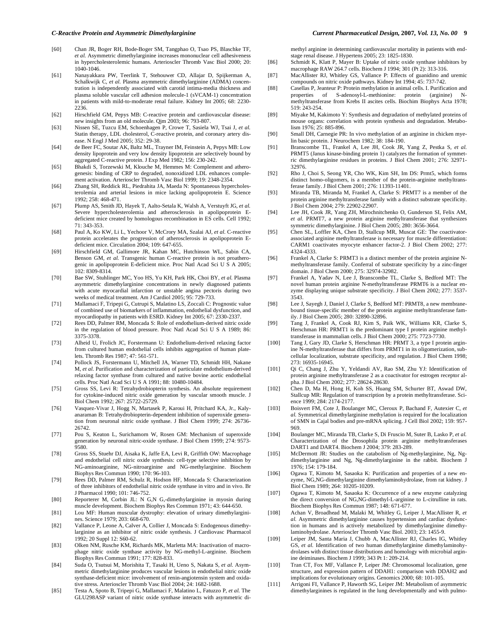- [60] Chan JR, Boger RH, Bode-Boger SM, Tangphao O, Tsao PS, Blaschke TF*, et al.* Asymmetric dimethylarginine increases mononuclear cell adhesiveness in hypercholesterolemic humans. Arterioscler Thromb Vasc Biol 2000; 20: 1040-1046.
- [61] Nanayakkara PW, Teerlink T, Stehouwer CD, Allajar D, Spijkerman A, Schalkwijk C*, et al.* Plasma asymmetric dimethylarginine (ADMA) concentration is independently associated with carotid intima-media thickness and plasma soluble vascular cell adhesion molecule-1 (sVCAM-1) concentration in patients with mild-to-moderate renal failure. Kidney Int 2005; 68: 2230- 2236.
- [62] Hirschfield GM, Pepys MB: C-reactive protein and cardiovascular disease: new insights from an old molecule. Qjm 2003; 96: 793-807.
- [63] Nissen SE, Tuzcu EM, Schoenhagen P, Crowe T, Sasiela WJ, Tsai J*, et al.* Statin therapy, LDL cholesterol, C-reactive protein, and coronary artery disease. N Engl J Med 2005; 352: 29-38.
- [64] de Beer FC, Soutar AK, Baltz ML, Trayner IM, Feinstein A, Pepys MB: Low density lipoprotein and very low density lipoprotein are selectively bound by aggregated C-reactive protein. J Exp Med 1982; 156: 230-242.
- [65] Bhakdi S, Torzewski M, Klouche M, Hemmes M: Complement and atherogenesis: binding of CRP to degraded, nonoxidized LDL enhances complement activation. Arterioscler Thromb Vasc Biol 1999; 19: 2348-2354.
- [66] Zhang SH, Reddick RL, Piedrahita JA, Maeda N: Spontaneous hypercholesterolemia and arterial lesions in mice lacking apolipoprotein E. Science 1992; 258: 468-471.
- [67] Plump AS, Smith JD, Hayek T, Aalto-Setala K, Walsh A, Verstuyft JG*, et al.* Severe hypercholesterolemia and atherosclerosis in apolipoprotein Edeficient mice created by homologous recombination in ES cells. Cell 1992; 71: 343-353.
- [68] Paul A, Ko KW, Li L, Yechoor V, McCrory MA, Szalai AJ*, et al.* C-reactive protein accelerates the progression of atherosclerosis in apolipoprotein Edeficient mice. Circulation 2004; 109: 647-655.
- [69] Hirschfield GM, Gallimore JR, Kahan MC, Hutchinson WL, Sabin CA, Benson GM*, et al.* Transgenic human C-reactive protein is not proatherogenic in apolipoprotein E-deficient mice. Proc Natl Acad Sci U S A 2005; 102: 8309-8314.
- [70] Bae SW, Stuhlinger MC, Yoo HS, Yu KH, Park HK, Choi BY*, et al.* Plasma asymmetric dimethylarginine concentrations in newly diagnosed patients with acute myocardial infarction or unstable angina pectoris during two weeks of medical treatment. Am J Cardiol 2005; 95: 729-733.
- [71] Mallamaci F, Tripepi G, Cutrupi S, Malatino LS, Zoccali C: Prognostic value of combined use of biomarkers of inflammation, endothelial dysfunction, and myocardiopathy in patients with ESRD. Kidney Int 2005; 67: 2330-2337.
- [72] Rees DD, Palmer RM, Moncada S: Role of endothelium-derived nitric oxide in the regulation of blood pressure. Proc Natl Acad Sci U S A 1989; 86: 3375-3378.
- [73] Alheid U, Frolich JC, Forstermann U: Endothelium-derived relaxing factor from cultured human endothelial cells inhibits aggregation of human platelets. Thromb Res 1987; 47: 561-571.
- [74] Pollock JS, Forstermann U, Mitchell JA, Warner TD, Schmidt HH, Nakane M*, et al.* Purification and characterization of particulate endothelium-derived relaxing factor synthase from cultured and native bovine aortic endothelial cells. Proc Natl Acad Sci U S A 1991; 88: 10480-10484.
- [75] Gross SS, Levi R: Tetrahydrobiopterin synthesis. An absolute requirement for cytokine-induced nitric oxide generation by vascular smooth muscle. J Biol Chem 1992; 267: 25722-25729.
- [76] Vasquez-Vivar J, Hogg N, Martasek P, Karoui H, Pritchard KA, Jr., Kalyanaraman B: Tetrahydrobiopterin-dependent inhibition of superoxide generation from neuronal nitric oxide synthase. J Biol Chem 1999; 274: 26736- 26742.
- [77] Pou S, Keaton L, Surichamorn W, Rosen GM: Mechanism of superoxide generation by neuronal nitric-oxide synthase. J Biol Chem 1999; 274: 9573- 9580.
- [78] Gross SS, Stuehr DJ, Aisaka K, Jaffe EA, Levi R, Griffith OW: Macrophage and endothelial cell nitric oxide synthesis: cell-type selective inhibition by NG-aminoarginine, NG-nitroarginine and NG-methylarginine. Biochem Biophys Res Commun 1990; 170: 96-103.
- [79] Rees DD, Palmer RM, Schulz R, Hodson HF, Moncada S: Characterization of three inhibitors of endothelial nitric oxide synthase in vitro and in vivo. Br J Pharmacol 1990; 101: 746-752.
- [80] Reporterer M, Corbin JL: N G,N G,-dimethylarginine in myosin during muscle development. Biochem Biophys Res Commun 1971; 43: 644-650.
- [81] Lou MF: Human muscular dystrophy: elevation of urinary dimethylarginines. Science 1979; 203: 668-670.
- [82] Vallance P, Leone A, Calver A, Collier J, Moncada S: Endogenous dimethylarginine as an inhibitor of nitric oxide synthesis. J Cardiovasc Pharmacol 1992; 20 Suppl 12: S60-62.
- [83] Olken NM, Rusche KM, Richards MK, Marletta MA: Inactivation of macrophage nitric oxide synthase activity by NG-methyl-L-arginine. Biochem Biophys Res Commun 1991; 177: 828-833.
- [84] Suda O, Tsutsui M, Morishita T, Tasaki H, Ueno S, Nakata S*, et al.* Asymmetric dimethylarginine produces vascular lesions in endothelial nitric oxide synthase-deficient mice: involvement of renin-angiotensin system and oxidative stress. Arterioscler Thromb Vasc Biol 2004; 24: 1682-1688.
- [85] Testa A, Spoto B, Tripepi G, Mallamaci F, Malatino L, Fatuzzo P*, et al.* The GLU298ASP variant of nitric oxide synthase interacts with asymmetric di-

methyl arginine in determining cardiovascular mortality in patients with endstage renal disease. J Hypertens 2005; 23: 1825-1830.

- [86] Schmidt K, Klatt P, Mayer B: Uptake of nitric oxide synthase inhibitors by macrophage RAW 264.7 cells. Biochem J 1994; 301 (Pt 2): 313-316. [87] MacAllister RJ, Whitley GS, Vallance P: Effects of guanidino and uremic
- compounds on nitric oxide pathways. Kidney Int 1994; 45: 737-742.
- [88] Casellas P, Jeanteur P: Protein methylation in animal cells. I. Purification and properties of S-adenosyl-L-methionine: protein (arginine) Nmethyltransferase from Krebs II ascites cells. Biochim Biophys Acta 1978; 519: 243-254.
- [89] Miyake M, Kakimoto Y: Synthesis and degradation of methylated proteins of mouse organs: correlation with protein synthesis and degradation. Metabolism 1976; 25: 885-896.
- [90] Small DH, Carnegie PR: In vivo methylation of an arginine in chicken myelin basic protein. J Neurochem 1982; 38: 184-190.
- [91] Branscombe TL, Frankel A, Lee JH, Cook JR, Yang Z, Pestka S*, et al.* PRMT5 (Janus kinase-binding protein 1) catalyzes the formation of symmetric dimethylarginine residues in proteins. J Biol Chem 2001; 276: 32971- 32976.
- [92] Rho J, Choi S, Seong YR, Cho WK, Kim SH, Im DS: Prmt5, which forms distinct homo-oligomers, is a member of the protein-arginine methyltransferase family. J Biol Chem 2001; 276: 11393-11401.
- [93] Miranda TB, Miranda M, Frankel A, Clarke S: PRMT7 is a member of the protein arginine methyltransferase family with a distinct substrate specificity. J Biol Chem 2004; 279: 22902-22907.
- [94] Lee JH, Cook JR, Yang ZH, Mirochnitchenko O, Gunderson SI, Felix AM*, et al.* PRMT7, a new protein arginine methyltransferase that synthesizes symmetric dimethylarginine. J Biol Chem 2005; 280: 3656-3664.
- [95] Chen SL, Loffler KA, Chen D, Stallcup MR, Muscat GE: The coactivatorassociated arginine methyltransferase is necessary for muscle differentiation: CARM1 coactivates myocyte enhancer factor-2. J Biol Chem 2002; 277: 4324-4333.
- [96] Frankel A, Clarke S: PRMT3 is a distinct member of the protein arginine Nmethyltransferase family. Conferral of substrate specificity by a zinc-finger domain. J Biol Chem 2000; 275: 32974-32982.
- [97] Frankel A, Yadav N, Lee J, Branscombe TL, Clarke S, Bedford MT: The novel human protein arginine N-methyltransferase PRMT6 is a nuclear enzyme displaying unique substrate specificity. J Biol Chem 2002; 277: 3537- 3543.
- [98] Lee J, Sayegh J, Daniel J, Clarke S, Bedford MT: PRMT8, a new membranebound tissue-specific member of the protein arginine methyltransferase family. J Biol Chem 2005; 280: 32890-32896.
- [99] Tang J, Frankel A, Cook RJ, Kim S, Paik WK, Williams KR, Clarke S, Herschman HR: PRMT1 is the predominant type I protein arginine methyltransferase in mammalian cells. J Biol Chem 2000; 275: 7723-7730.
- [100] Tang J, Gary JD, Clarke S, Herschman HR: PRMT 3, a type I protein arginine N-methyltransferase that differs from PRMT1 in its oligomerization, subcellular localization, substrate specificity, and regulation. J Biol Chem 1998; 273: 16935-16945.
- [101] Qi C, Chang J, Zhu Y, Yeldandi AV, Rao SM, Zhu YJ: Identification of protein arginine methyltransferase 2 as a coactivator for estrogen receptor alpha. J Biol Chem 2002; 277: 28624-28630.
- [102] Chen D, Ma H, Hong H, Koh SS, Huang SM, Schurter BT, Aswad DW, Stallcup MR: Regulation of transcription by a protein methyltransferase. Science 1999; 284: 2174-2177.
- [103] Boisvert FM, Cote J, Boulanger MC, Cleroux P, Bachand F, Autexier C*, et al.* Symmetrical dimethylarginine methylation is required for the localization of SMN in Cajal bodies and pre-mRNA splicing. J Cell Biol 2002; 159: 957- 969.
- [104] Boulanger MC, Miranda TB, Clarke S, Di Fruscio M, Suter B, Lasko P*, et al.* Characterization of the Drosophila protein arginine methyltransferases DART1 and DART4. Biochem J 2004; 379: 283-289.
- [105] McDermott JR: Studies on the catabolism of Ng-methylarginine, Ng, Ngdimethylarginine and Ng, Ng-dimethylarginine in the rabbit. Biochem J 1976; 154: 179-184.
- [106] Ogawa T, Kimoto M, Sasaoka K: Purification and properties of a new enzyme, NG,NG-dimethylarginine dimethylaminohydrolase, from rat kidney. J Biol Chem 1989; 264: 10205-10209.
- [107] Ogawa T, Kimoto M, Sasaoka K: Occurrence of a new enzyme catalyzing the direct conversion of NG,NG-dimethyl-L-arginine to L-citrulline in rats. Biochem Biophys Res Commun 1987; 148: 671-677.
- [108] Achan V, Broadhead M, Malaki M, Whitley G, Leiper J, MacAllister R*, et al.* Asymmetric dimethylarginine causes hypertension and cardiac dysfunction in humans and is actively metabolized by dimethylarginine dimethylaminohydrolase. Arterioscler Thromb Vasc Biol. 2003; 23: 1455-9.
- [109] Leiper JM, Santa Maria J, Chubb A, MacAllister RJ, Charles IG, Whitley GS, et al. Identification of two human dimethylarginine dimethylaminohydrolases with distinct tissue distributions and homology with microbial arginine deiminases. Biochem J 1999; 343 Pt 1: 209-214.
- [110] Tran CT, Fox MF, Vallance P, Leiper JM: Chromosomal localization, gene structure, and expression pattern of DDAH1: comparison with DDAH2 and implications for evolutionary origins. Genomics 2000; 68: 101-105.
- [111] Arrigoni FI, Vallance P, Haworth SG, Leiper JM: Metabolism of asymmetric dimethylarginines is regulated in the lung developmentally and with pulmo-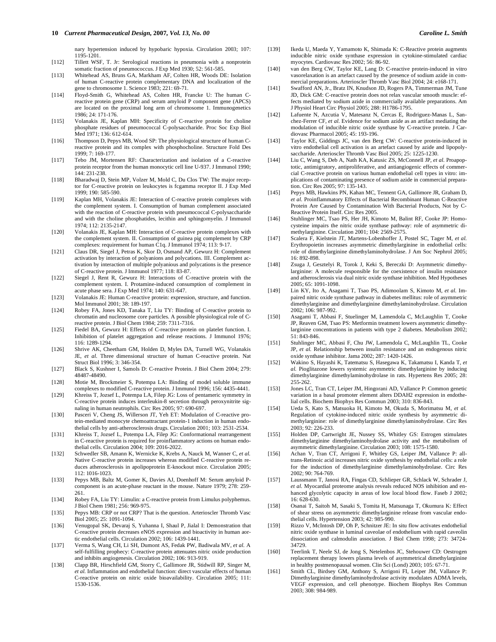nary hypertension induced by hypobaric hypoxia. Circulation 2003; 107: 1195-1201.

- [112] Tillett WSF, T. Jr: Serological reactions in pneumonia with a nonprotein somatic fraction of pneumococcus. J Exp Med 1930; 52: 561-585.
- [113] Whitehead AS, Bruns GA, Markham AF, Colten HR, Woods DE: Isolation of human C-reactive protein complementary DNA and localization of the gene to chromosome 1. Science 1983; 221: 69-71.
- [114] Floyd-Smith G, Whitehead AS, Colten HR, Francke U: The human Creactive protein gene (CRP) and serum amyloid P component gene (APCS) are located on the proximal long arm of chromosome 1. Immunogenetics 1986; 24: 171-176.
- [115] Volanakis JE, Kaplan MH: Specificity of C-reactive protein for choline phosphate residues of pneumococcal C-polysaccharide. Proc Soc Exp Biol Med 1971; 136: 612-614.
- [116] Thompson D, Pepys MB, Wood SP: The physiological structure of human Creactive protein and its complex with phosphocholine. Structure Fold Des 1999; 7: 169-177.
- [117] Tebo JM, Mortensen RF: Characterization and isolation of a C-reactive protein receptor from the human monocytic cell line U-937. J Immunol 1990; 144: 231-238.
- [118] Bharadwaj D, Stein MP, Volzer M, Mold C, Du Clos TW: The major receptor for C-reactive protein on leukocytes is fcgamma receptor II. J Exp Med 1999; 190: 585-590.
- [119] Kaplan MH, Volanakis JE: Interaction of C-reactive protein complexes with the complement system. I. Consumption of human complement associated with the reaction of C-reactive protein with pneumococcal C-polysaccharide and with the choline phosphatides, lecithin and sphingomyelin. J Immunol 1974; 112: 2135-2147.
- [120] Volanakis JE, Kaplan MH: Interaction of C-reactive protein complexes with the complement system. II. Consumption of guinea pig complement by CRP complexes: requirement for human C1q. J Immunol 1974; 113: 9-17.
- [121] Claus DR, Siegel J, Petras K, Skor D, Osmand AP, Gewurz H: Complement activation by interaction of polyanions and polycations. III. Complement activation by interaction of multiple polyanious and polycations is the presence of C-reactive protein. J Immunol 1977; 118: 83-87.
- [122] Siegel J, Rent R, Gewurz H: Interactions of C-reactive protein with the complement system. I. Protamine-induced consumption of complement in acute phase sera. J Exp Med 1974; 140: 631-647.
- [123] Volanakis JE: Human C-reactive protein: expression, structure, and function. Mol Immunol 2001; 38: 189-197.
- [124] Robey FA, Jones KD, Tanaka T, Liu TY: Binding of C-reactive protein to chromatin and nucleosome core particles. A possible physiological role of Creactive protein. J Biol Chem 1984; 259: 7311-7316.
- [125] Fiedel BA, Gewurz H: Effects of C-reactive protein on platelet function. I. Inhibition of platelet aggregation and release reactions. J Immunol 1976; 116: 1289-1294.
- [126] Shrive AK, Cheetham GM, Holden D, Myles DA, Turnell WG, Volanakis JE*, et al.* Three dimensional structure of human C-reactive protein. Nat Struct Biol 1996; 3: 346-354.
- [127] Black S, Kushner I, Samols D: C-reactive Protein. J Biol Chem 2004; 279: 48487-48490.
- [128] Motie M, Brockmeier S, Potempa LA: Binding of model soluble immune complexes to modified C-reactive protein. J Immunol 1996; 156: 4435-4441.
- [129] Khreiss T, Jozsef L, Potempa LA, Filep JG: Loss of pentameric symmetry in C-reactive protein induces interleukin-8 secretion through peroxynitrite signaling in human neutrophils. Circ Res 2005; 97: 690-697.
- [130] Pasceri V, Cheng JS, Willerson JT, Yeh ET: Modulation of C-reactive protein-mediated monocyte chemoattractant protein-1 induction in human endothelial cells by anti-atherosclerosis drugs. Circulation 2001; 103: 2531-2534.
- [131] Khreiss T, Jozsef L, Potempa LA, Filep JG: Conformational rearrangement in C-reactive protein is required for proinflammatory actions on human endothelial cells. Circulation 2004; 109: 2016-2022.
- [132] Schwedler SB, Amann K, Wernicke K, Krebs A, Nauck M, Wanner C*, et al.* Native C-reactive protein increases whereas modified C-reactive protein reduces atherosclerosis in apolipoprotein E-knockout mice. Circulation 2005; 112: 1016-1023.
- [133] Pepys MB, Baltz M, Gomer K, Davies AJ, Doenhoff M: Serum amyloid Pcomponent is an acute-phase reactant in the mouse. Nature 1979; 278: 259- 261.
- [134] Robey FA, Liu TY: Limulin: a C-reactive protein from Limulus polyphemus. J Biol Chem 1981; 256: 969-975.
- [135] Pepys MB: CRP or not CRP? That is the question. Arterioscler Thromb Vasc Biol 2005; 25: 1091-1094.
- [136] Venugopal SK, Devaraj S, Yuhanna I, Shaul P, Jialal I: Demonstration that C-reactive protein decreases eNOS expression and bioactivity in human aortic endothelial cells. Circulation 2002; 106: 1439-1441.
- [137] Verma S, Wang CH, Li SH, Dumont AS, Fedak PW, Badiwala MV*, et al.* A self-fulfilling prophecy: C-reactive protein attenuates nitric oxide production and inhibits angiogenesis. Circulation 2002; 106: 913-919.
- [138] Clapp BR, Hirschfield GM, Storry C, Gallimore JR, Stidwill RP, Singer M*, et al.* Inflammation and endothelial function: direct vascular effects of human C-reactive protein on nitric oxide bioavailability. Circulation 2005; 111: 1530-1536.
- [139] Ikeda U, Maeda Y, Yamamoto K, Shimada K: C-Reactive protein augments inducible nitric oxide synthase expression in cytokine-stimulated cardiac myocytes. Cardiovasc Res 2002; 56: 86-92.
- [140] van den Berg CW, Taylor KE, Lang D: C-reactive protein-induced in vitro vasorelaxation is an artefact caused by the presence of sodium azide in commercial preparations. Arterioscler Thromb Vasc Biol 2004; 24: e168-171.
- [141] Swafford AN, Jr., Bratz IN, Knudson JD, Rogers PA, Timmerman JM, Tune JD, Dick GM: C-reactive protein does not relax vascular smooth muscle: effects mediated by sodium azide in commercially available preparations. Am J Physiol Heart Circ Physiol 2005; 288: H1786-1795.
- [142] Lafuente N, Azcutia V, Matesanz N, Cercas E, Rodriguez-Manas L, Sanchez-Ferrer CF*, et al.* Evidence for sodium azide as an artifact mediating the modulation of inducible nitric oxide synthase by C-reactive protein. J Cardiovasc Pharmacol 2005; 45: 193-196.
- [143] Taylor KE, Giddings JC, van den Berg CW: C-reactive protein-induced in vitro endothelial cell activation is an artefact caused by azide and lipopolysaccharide. Arterioscler Thromb Vasc Biol 2005; 25: 1225-1230.
- [144] Liu C, Wang S, Deb A, Nath KA, Katusic ZS, McConnell JP*, et al.* Proapoptotic, antimigratory, antiproliferative, and antiangiogenic effects of commercial C-reactive protein on various human endothelial cell types in vitro: implications of contaminating presence of sodium azide in commercial preparation. Circ Res 2005; 97: 135-143.
- [145] Pepys MB, Hawkins PN, Kahan MC, Tennent GA, Gallimore JR, Graham D*, et al.* Proinflammatory Effects of Bacterial Recombinant Human C-Reactive Protein Are Caused by Contamination With Bacterial Products, Not by C-Reactive Protein Itself. Circ Res 2005.
- [146] Stuhlinger MC, Tsao PS, Her JH, Kimoto M, Balint RF, Cooke JP: Homocysteine impairs the nitric oxide synthase pathway: role of asymmetric dimethylarginine. Circulation 2001; 104: 2569-2575.
- [147] Scalera F, Kielstein JT, Martens-Lobenhoffer J, Postel SC, Tager M*, et al.* Erythropoietin increases asymmetric dimethylarginine in endothelial cells: role of dimethylarginine dimethylaminohydrolase. J Am Soc Nephrol 2005; 16: 892-898.
- [148] Zsuga J, Gesztelyi R, Torok J, Keki S, Bereczki D: Asymmetric dimethylarginine: A molecule responsible for the coexistence of insulin resistance and atherosclerosis via dual nitric oxide synthase inhibition. Med Hypotheses 2005; 65: 1091-1098.
- [149] Lin KY, Ito A, Asagami T, Tsao PS, Adimoolam S, Kimoto M*, et al.* Impaired nitric oxide synthase pathway in diabetes mellitus: role of asymmetric dimethylarginine and dimethylarginine dimethylaminohydrolase. Circulation 2002; 106: 987-992.
- [150] Asagami T, Abbasi F, Stuelinger M, Lamendola C, McLaughlin T, Cooke JP, Reaven GM, Tsao PS: Metformin treatment lowers asymmetric dimethylarginine concentrations in patients with type 2 diabetes. Metabolism 2002; 51: 843-846.
- [151] Stuhlinger MC, Abbasi F, Chu JW, Lamendola C, McLaughlin TL, Cooke JP*, et al.* Relationship between insulin resistance and an endogenous nitric oxide synthase inhibitor. Jama 2002; 287: 1420-1426.
- [152] Wakino S, Hayashi K, Tatematsu S, Hasegawa K, Takamatsu I, Kanda T*, et al.* Pioglitazone lowers systemic asymmetric dimethylarginine by inducing dimethylarginine dimethylaminohydrolase in rats. Hypertens Res 2005; 28: 255-262.
- [153] Jones LC, Tran CT, Leiper JM, Hingorani AD, Vallance P: Common genetic variation in a basal promoter element alters DDAH2 expression in endothelial cells. Biochem Biophys Res Commun 2003; 310: 836-843.
- [154] Ueda S, Kato S, Matsuoka H, Kimoto M, Okuda S, Morimatsu M*, et al.* Regulation of cytokine-induced nitric oxide synthesis by asymmetric dimethylarginine: role of dimethylarginine dimethylaminohydrolase. Circ Res 2003; 92: 226-233.
- [155] Holden DP, Cartwright JE, Nussey SS, Whitley GS: Estrogen stimulates dimethylarginine dimethylaminohydrolase activity and the metabolism of asymmetric dimethylarginine. Circulation 2003; 108: 1575-1580.
- [156] Achan V, Tran CT, Arrigoni F, Whitley GS, Leiper JM, Vallance P: alltrans-Retinoic acid increases nitric oxide synthesis by endothelial cells: a role for the induction of dimethylarginine dimethylaminohydrolase. Circ Res 2002; 90: 764-769.
- [157] Laussmann T, Janosi RA, Fingas CD, Schlieper GR, Schlack W, Schrader J*, et al.* Myocardial proteome analysis reveals reduced NOS inhibition and enhanced glycolytic capacity in areas of low local blood flow. Faseb J 2002; 16: 628-630.
- [158] Osanai T, Saitoh M, Sasaki S, Tomita H, Matsunaga T, Okumura K: Effect of shear stress on asymmetric dimethylarginine release from vascular endothelial cells. Hypertension 2003; 42: 985-990.
- [159] Rizzo V, McIntosh DP, Oh P, Schnitzer JE: In situ flow activates endothelial nitric oxide synthase in luminal caveolae of endothelium with rapid caveolin dissociation and calmodulin association. J Biol Chem 1998; 273: 34724- 34729.
- [160] Teerlink T, Neele SJ, de Jong S, Netelenbos JC, Stehouwer CD: Oestrogen replacement therapy lowers plasma levels of asymmetrical dimethylarginine in healthy postmenopausal women. Clin Sci (Lond) 2003; 105: 67-71.
- [161] Smith CL, Birdsey GM, Anthony S, Arrigoni FI, Leiper JM, Vallance P: Dimethylarginine dimethylaminohydrolase activity modulates ADMA levels, VEGF expression, and cell phenotype. Biochem Biophys Res Commun 2003; 308: 984-989.